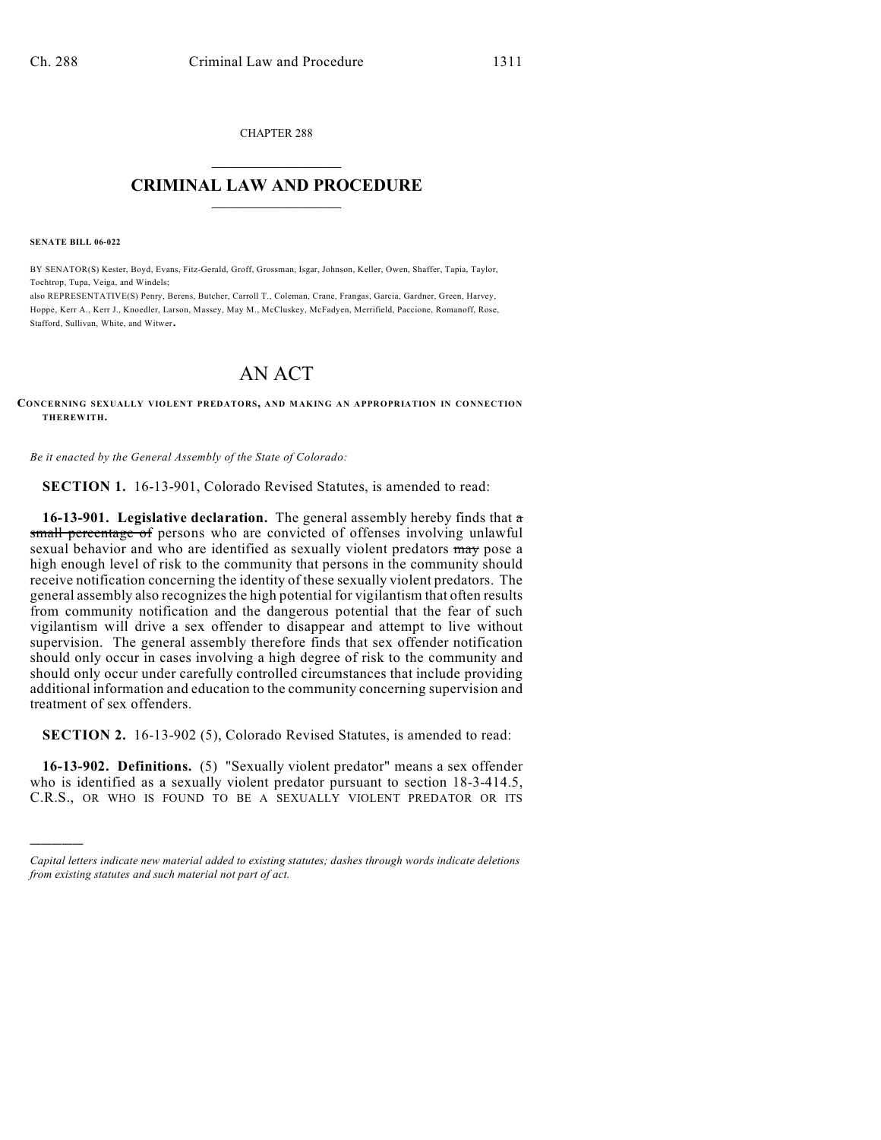CHAPTER 288  $\overline{\phantom{a}}$  . The set of the set of the set of the set of the set of the set of the set of the set of the set of the set of the set of the set of the set of the set of the set of the set of the set of the set of the set o

## **CRIMINAL LAW AND PROCEDURE**  $\frac{1}{2}$  ,  $\frac{1}{2}$  ,  $\frac{1}{2}$  ,  $\frac{1}{2}$  ,  $\frac{1}{2}$  ,  $\frac{1}{2}$  ,  $\frac{1}{2}$

**SENATE BILL 06-022**

)))))

BY SENATOR(S) Kester, Boyd, Evans, Fitz-Gerald, Groff, Grossman, Isgar, Johnson, Keller, Owen, Shaffer, Tapia, Taylor, Tochtrop, Tupa, Veiga, and Windels;

also REPRESENTATIVE(S) Penry, Berens, Butcher, Carroll T., Coleman, Crane, Frangas, Garcia, Gardner, Green, Harvey, Hoppe, Kerr A., Kerr J., Knoedler, Larson, Massey, May M., McCluskey, McFadyen, Merrifield, Paccione, Romanoff, Rose, Stafford, Sullivan, White, and Witwer.

## AN ACT

**CONCERNING SEXUALLY VIOLENT PREDATORS, AND MAKING AN APPROPRIATION IN CONNECTION THEREWITH.**

*Be it enacted by the General Assembly of the State of Colorado:*

**SECTION 1.** 16-13-901, Colorado Revised Statutes, is amended to read:

**16-13-901. Legislative declaration.** The general assembly hereby finds that a small percentage of persons who are convicted of offenses involving unlawful sexual behavior and who are identified as sexually violent predators may pose a high enough level of risk to the community that persons in the community should receive notification concerning the identity of these sexually violent predators. The general assembly also recognizes the high potential for vigilantism that often results from community notification and the dangerous potential that the fear of such vigilantism will drive a sex offender to disappear and attempt to live without supervision. The general assembly therefore finds that sex offender notification should only occur in cases involving a high degree of risk to the community and should only occur under carefully controlled circumstances that include providing additional information and education to the community concerning supervision and treatment of sex offenders.

**SECTION 2.** 16-13-902 (5), Colorado Revised Statutes, is amended to read:

**16-13-902. Definitions.** (5) "Sexually violent predator" means a sex offender who is identified as a sexually violent predator pursuant to section 18-3-414.5, C.R.S., OR WHO IS FOUND TO BE A SEXUALLY VIOLENT PREDATOR OR ITS

*Capital letters indicate new material added to existing statutes; dashes through words indicate deletions from existing statutes and such material not part of act.*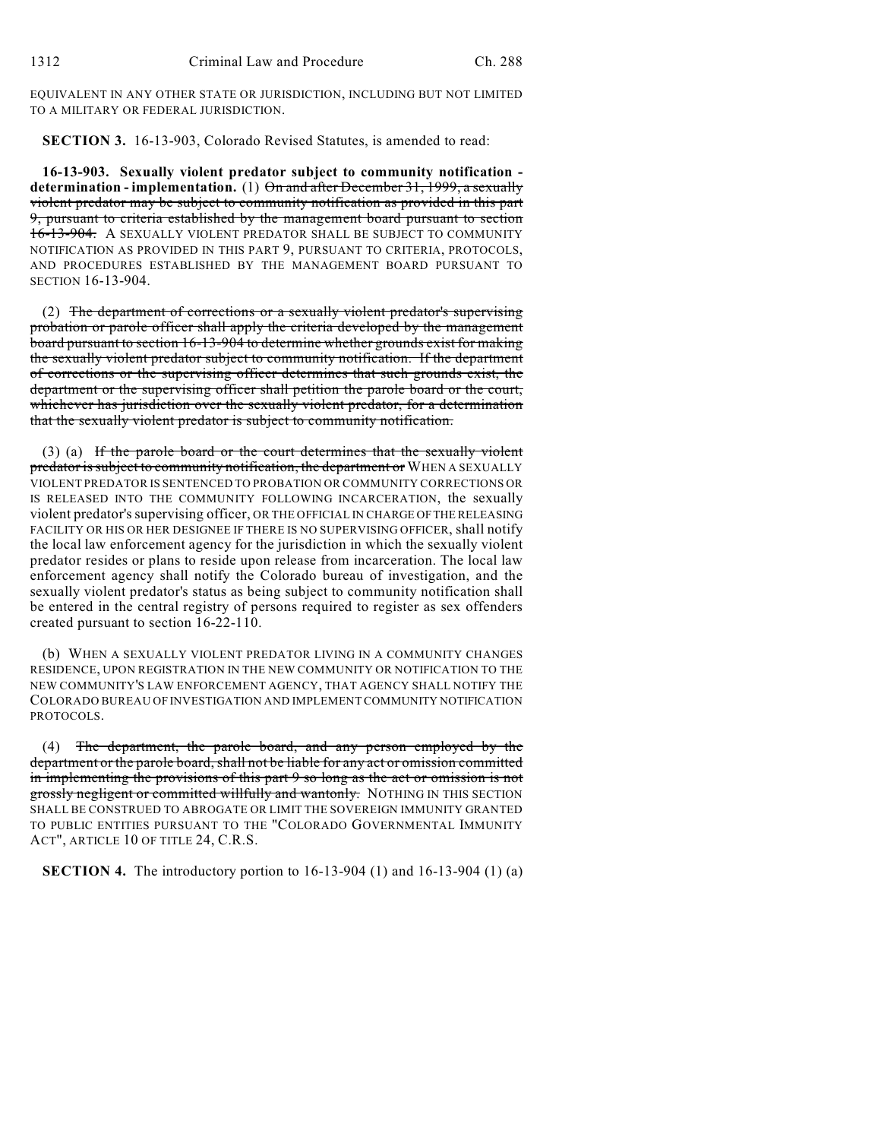EQUIVALENT IN ANY OTHER STATE OR JURISDICTION, INCLUDING BUT NOT LIMITED TO A MILITARY OR FEDERAL JURISDICTION.

**SECTION 3.** 16-13-903, Colorado Revised Statutes, is amended to read:

**16-13-903. Sexually violent predator subject to community notification determination - implementation.** (1) On and after December 31, 1999, a sexually violent predator may be subject to community notification as provided in this part 9, pursuant to criteria established by the management board pursuant to section 16-13-904. A SEXUALLY VIOLENT PREDATOR SHALL BE SUBJECT TO COMMUNITY NOTIFICATION AS PROVIDED IN THIS PART 9, PURSUANT TO CRITERIA, PROTOCOLS, AND PROCEDURES ESTABLISHED BY THE MANAGEMENT BOARD PURSUANT TO SECTION 16-13-904.

(2) The department of corrections or a sexually violent predator's supervising probation or parole officer shall apply the criteria developed by the management board pursuant to section 16-13-904 to determine whether grounds exist for making the sexually violent predator subject to community notification. If the department of corrections or the supervising officer determines that such grounds exist, the department or the supervising officer shall petition the parole board or the court, whichever has jurisdiction over the sexually violent predator, for a determination that the sexually violent predator is subject to community notification.

(3) (a) If the parole board or the court determines that the sexually violent predator is subject to community notification, the department or WHEN A SEXUALLY VIOLENT PREDATOR IS SENTENCED TO PROBATION OR COMMUNITY CORRECTIONS OR IS RELEASED INTO THE COMMUNITY FOLLOWING INCARCERATION, the sexually violent predator's supervising officer, OR THE OFFICIAL IN CHARGE OF THE RELEASING FACILITY OR HIS OR HER DESIGNEE IF THERE IS NO SUPERVISING OFFICER, shall notify the local law enforcement agency for the jurisdiction in which the sexually violent predator resides or plans to reside upon release from incarceration. The local law enforcement agency shall notify the Colorado bureau of investigation, and the sexually violent predator's status as being subject to community notification shall be entered in the central registry of persons required to register as sex offenders created pursuant to section 16-22-110.

(b) WHEN A SEXUALLY VIOLENT PREDATOR LIVING IN A COMMUNITY CHANGES RESIDENCE, UPON REGISTRATION IN THE NEW COMMUNITY OR NOTIFICATION TO THE NEW COMMUNITY'S LAW ENFORCEMENT AGENCY, THAT AGENCY SHALL NOTIFY THE COLORADO BUREAU OF INVESTIGATION AND IMPLEMENT COMMUNITY NOTIFICATION PROTOCOLS.

(4) The department, the parole board, and any person employed by the department or the parole board, shall not be liable for any act or omission committed in implementing the provisions of this part 9 so long as the act or omission is not grossly negligent or committed willfully and wantonly. NOTHING IN THIS SECTION SHALL BE CONSTRUED TO ABROGATE OR LIMIT THE SOVEREIGN IMMUNITY GRANTED TO PUBLIC ENTITIES PURSUANT TO THE "COLORADO GOVERNMENTAL IMMUNITY ACT", ARTICLE 10 OF TITLE 24, C.R.S.

**SECTION 4.** The introductory portion to 16-13-904 (1) and 16-13-904 (1) (a)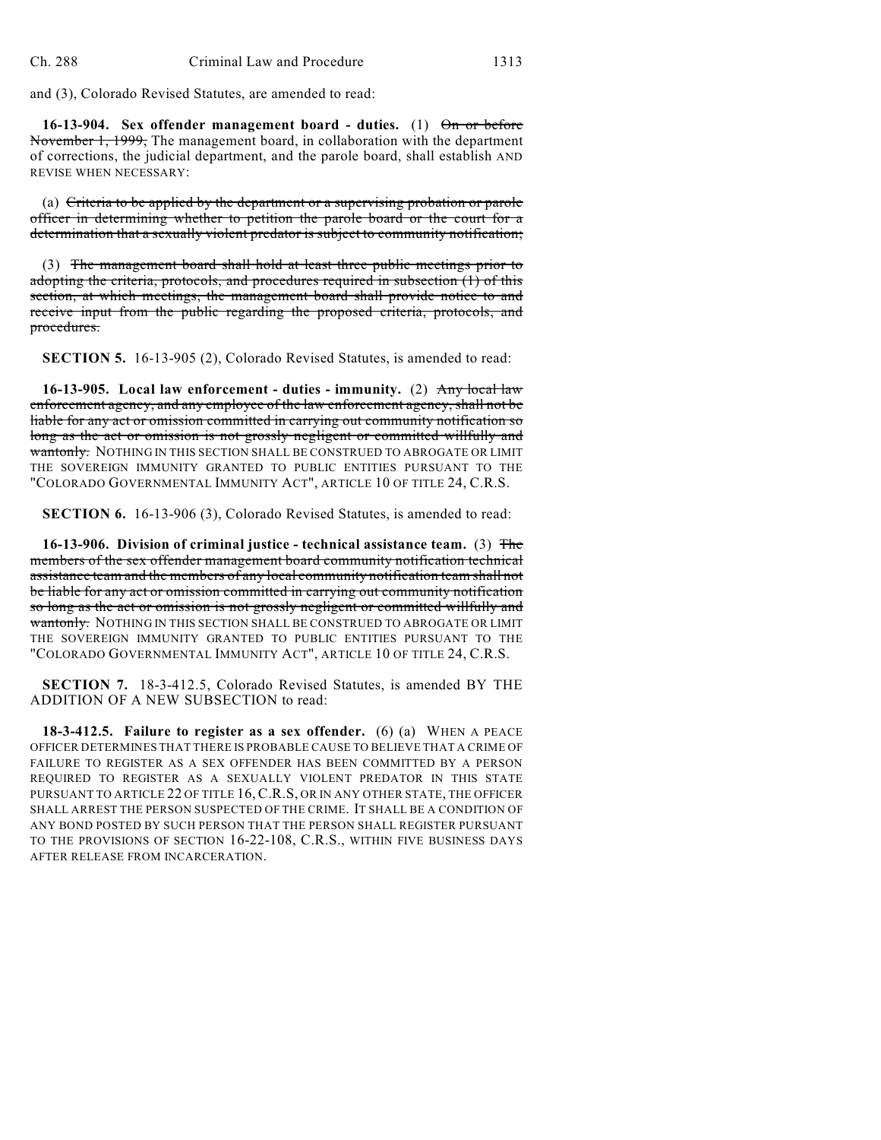and (3), Colorado Revised Statutes, are amended to read:

**16-13-904. Sex offender management board - duties.** (1) On or before November 1, 1999, The management board, in collaboration with the department of corrections, the judicial department, and the parole board, shall establish AND REVISE WHEN NECESSARY:

(a) Criteria to be applied by the department or a supervising probation or parole officer in determining whether to petition the parole board or the court for a determination that a sexually violent predator is subject to community notification;

(3) The management board shall hold at least three public meetings prior to adopting the criteria, protocols, and procedures required in subsection (1) of this section, at which meetings, the management board shall provide notice to and receive input from the public regarding the proposed criteria, protocols, and procedures.

**SECTION 5.** 16-13-905 (2), Colorado Revised Statutes, is amended to read:

**16-13-905. Local law enforcement - duties - immunity.** (2) Any local law enforcement agency, and any employee of the law enforcement agency, shall not be liable for any act or omission committed in carrying out community notification so long as the act or omission is not grossly negligent or committed willfully and wantonly. NOTHING IN THIS SECTION SHALL BE CONSTRUED TO ABROGATE OR LIMIT THE SOVEREIGN IMMUNITY GRANTED TO PUBLIC ENTITIES PURSUANT TO THE "COLORADO GOVERNMENTAL IMMUNITY ACT", ARTICLE 10 OF TITLE 24, C.R.S.

**SECTION 6.** 16-13-906 (3), Colorado Revised Statutes, is amended to read:

**16-13-906. Division of criminal justice - technical assistance team.** (3) The members of the sex offender management board community notification technical assistance team and the members of any local community notification team shall not be liable for any act or omission committed in carrying out community notification so long as the act or omission is not grossly negligent or committed willfully and wantonly. NOTHING IN THIS SECTION SHALL BE CONSTRUED TO ABROGATE OR LIMIT THE SOVEREIGN IMMUNITY GRANTED TO PUBLIC ENTITIES PURSUANT TO THE "COLORADO GOVERNMENTAL IMMUNITY ACT", ARTICLE 10 OF TITLE 24, C.R.S.

**SECTION 7.** 18-3-412.5, Colorado Revised Statutes, is amended BY THE ADDITION OF A NEW SUBSECTION to read:

**18-3-412.5. Failure to register as a sex offender.** (6) (a) WHEN A PEACE OFFICER DETERMINES THAT THERE IS PROBABLE CAUSE TO BELIEVE THAT A CRIME OF FAILURE TO REGISTER AS A SEX OFFENDER HAS BEEN COMMITTED BY A PERSON REQUIRED TO REGISTER AS A SEXUALLY VIOLENT PREDATOR IN THIS STATE PURSUANT TO ARTICLE 22 OF TITLE 16, C.R.S, OR IN ANY OTHER STATE, THE OFFICER SHALL ARREST THE PERSON SUSPECTED OF THE CRIME. IT SHALL BE A CONDITION OF ANY BOND POSTED BY SUCH PERSON THAT THE PERSON SHALL REGISTER PURSUANT TO THE PROVISIONS OF SECTION 16-22-108, C.R.S., WITHIN FIVE BUSINESS DAYS AFTER RELEASE FROM INCARCERATION.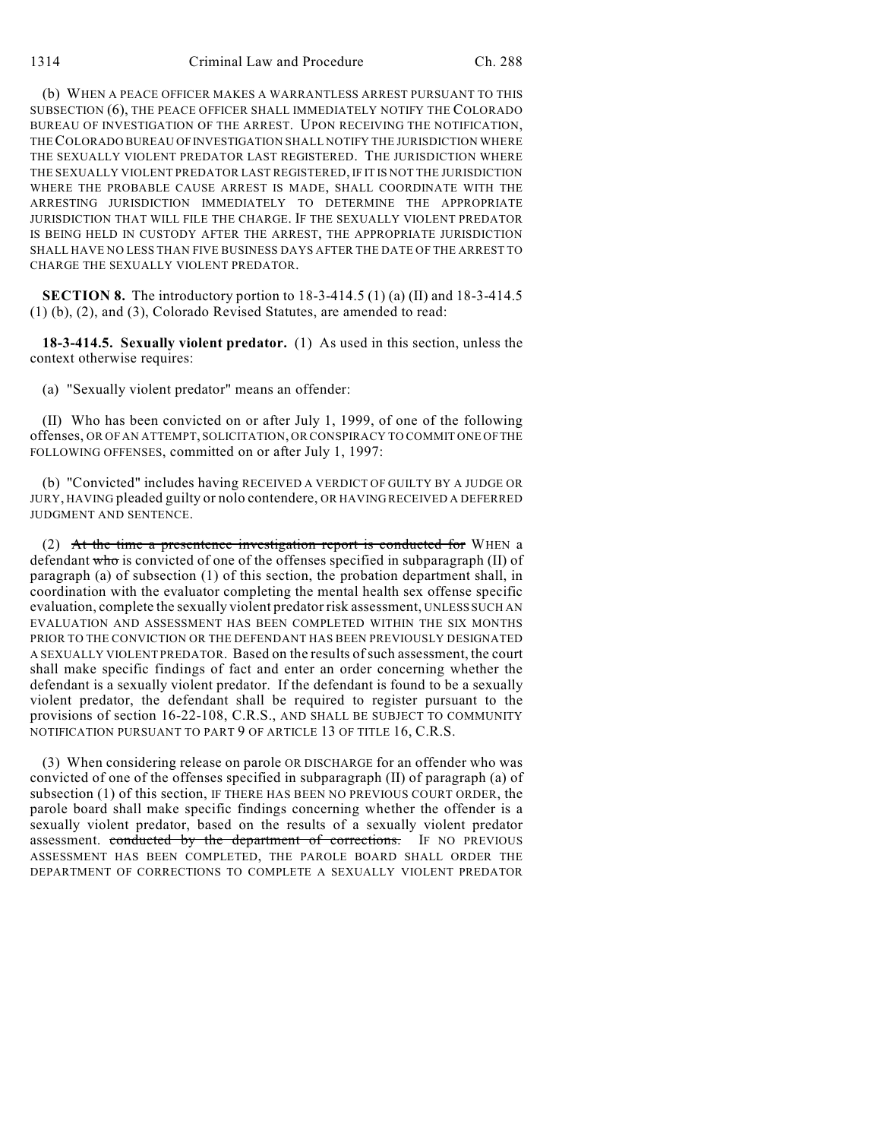(b) WHEN A PEACE OFFICER MAKES A WARRANTLESS ARREST PURSUANT TO THIS SUBSECTION (6), THE PEACE OFFICER SHALL IMMEDIATELY NOTIFY THE COLORADO BUREAU OF INVESTIGATION OF THE ARREST. UPON RECEIVING THE NOTIFICATION, THE COLORADO BUREAU OF INVESTIGATION SHALL NOTIFY THE JURISDICTION WHERE THE SEXUALLY VIOLENT PREDATOR LAST REGISTERED. THE JURISDICTION WHERE THE SEXUALLY VIOLENT PREDATOR LAST REGISTERED, IF IT IS NOT THE JURISDICTION WHERE THE PROBABLE CAUSE ARREST IS MADE, SHALL COORDINATE WITH THE ARRESTING JURISDICTION IMMEDIATELY TO DETERMINE THE APPROPRIATE JURISDICTION THAT WILL FILE THE CHARGE. IF THE SEXUALLY VIOLENT PREDATOR IS BEING HELD IN CUSTODY AFTER THE ARREST, THE APPROPRIATE JURISDICTION SHALL HAVE NO LESS THAN FIVE BUSINESS DAYS AFTER THE DATE OF THE ARREST TO CHARGE THE SEXUALLY VIOLENT PREDATOR.

**SECTION 8.** The introductory portion to 18-3-414.5 (1) (a) (II) and 18-3-414.5 (1) (b), (2), and (3), Colorado Revised Statutes, are amended to read:

**18-3-414.5. Sexually violent predator.** (1) As used in this section, unless the context otherwise requires:

(a) "Sexually violent predator" means an offender:

(II) Who has been convicted on or after July 1, 1999, of one of the following offenses, OR OF AN ATTEMPT, SOLICITATION, OR CONSPIRACY TO COMMIT ONE OF THE FOLLOWING OFFENSES, committed on or after July 1, 1997:

(b) "Convicted" includes having RECEIVED A VERDICT OF GUILTY BY A JUDGE OR JURY, HAVING pleaded guilty or nolo contendere, OR HAVING RECEIVED A DEFERRED JUDGMENT AND SENTENCE.

(2) At the time a presentence investigation report is conducted for WHEN a defendant who is convicted of one of the offenses specified in subparagraph (II) of paragraph (a) of subsection (1) of this section, the probation department shall, in coordination with the evaluator completing the mental health sex offense specific evaluation, complete the sexually violent predator risk assessment, UNLESS SUCH AN EVALUATION AND ASSESSMENT HAS BEEN COMPLETED WITHIN THE SIX MONTHS PRIOR TO THE CONVICTION OR THE DEFENDANT HAS BEEN PREVIOUSLY DESIGNATED A SEXUALLY VIOLENT PREDATOR. Based on the results of such assessment, the court shall make specific findings of fact and enter an order concerning whether the defendant is a sexually violent predator. If the defendant is found to be a sexually violent predator, the defendant shall be required to register pursuant to the provisions of section 16-22-108, C.R.S., AND SHALL BE SUBJECT TO COMMUNITY NOTIFICATION PURSUANT TO PART 9 OF ARTICLE 13 OF TITLE 16, C.R.S.

(3) When considering release on parole OR DISCHARGE for an offender who was convicted of one of the offenses specified in subparagraph (II) of paragraph (a) of subsection (1) of this section, IF THERE HAS BEEN NO PREVIOUS COURT ORDER, the parole board shall make specific findings concerning whether the offender is a sexually violent predator, based on the results of a sexually violent predator assessment. conducted by the department of corrections. IF NO PREVIOUS ASSESSMENT HAS BEEN COMPLETED, THE PAROLE BOARD SHALL ORDER THE DEPARTMENT OF CORRECTIONS TO COMPLETE A SEXUALLY VIOLENT PREDATOR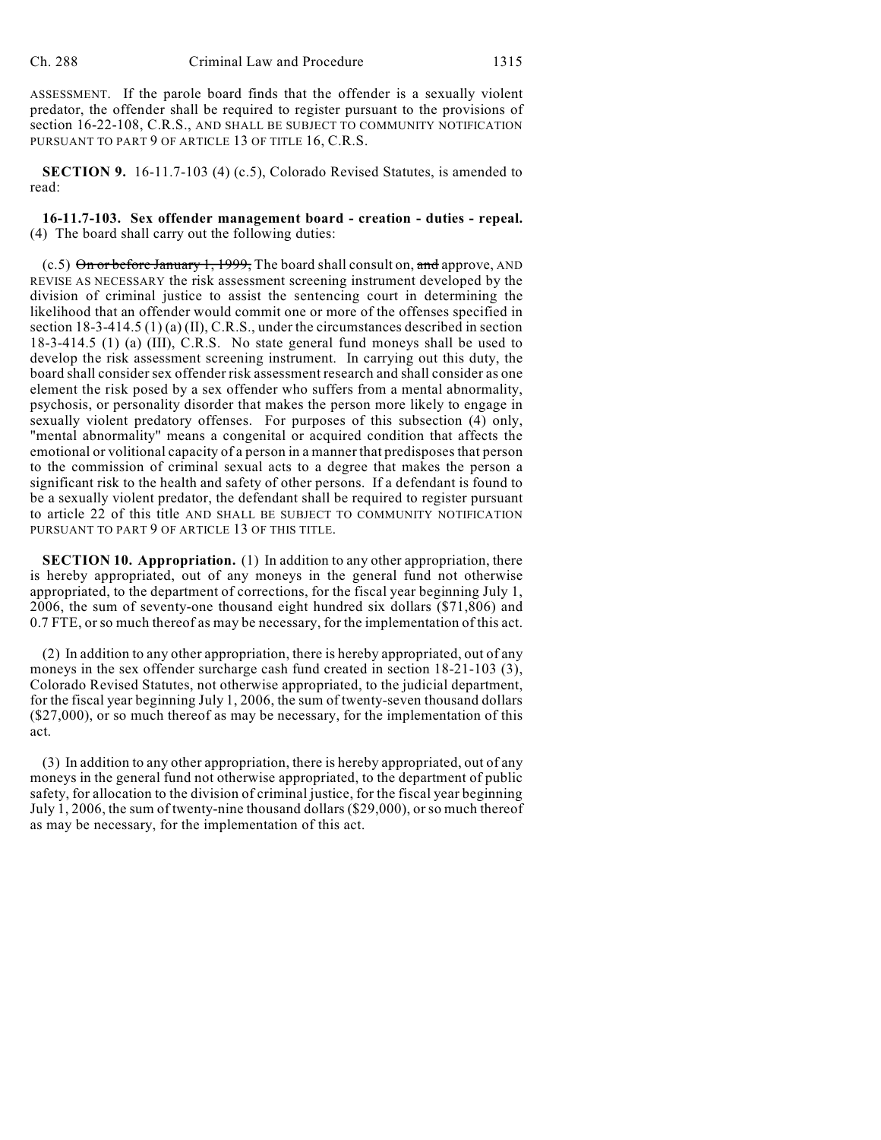ASSESSMENT. If the parole board finds that the offender is a sexually violent predator, the offender shall be required to register pursuant to the provisions of section 16-22-108, C.R.S., AND SHALL BE SUBJECT TO COMMUNITY NOTIFICATION PURSUANT TO PART 9 OF ARTICLE 13 OF TITLE 16, C.R.S.

**SECTION 9.** 16-11.7-103 (4) (c.5), Colorado Revised Statutes, is amended to read:

**16-11.7-103. Sex offender management board - creation - duties - repeal.** (4) The board shall carry out the following duties:

 $(c.5)$  On or before January 1, 1999, The board shall consult on, and approve, AND REVISE AS NECESSARY the risk assessment screening instrument developed by the division of criminal justice to assist the sentencing court in determining the likelihood that an offender would commit one or more of the offenses specified in section 18-3-414.5 (1) (a) (II), C.R.S., under the circumstances described in section 18-3-414.5 (1) (a) (III), C.R.S. No state general fund moneys shall be used to develop the risk assessment screening instrument. In carrying out this duty, the board shall consider sex offender risk assessment research and shall consider as one element the risk posed by a sex offender who suffers from a mental abnormality, psychosis, or personality disorder that makes the person more likely to engage in sexually violent predatory offenses. For purposes of this subsection (4) only, "mental abnormality" means a congenital or acquired condition that affects the emotional or volitional capacity of a person in a manner that predisposesthat person to the commission of criminal sexual acts to a degree that makes the person a significant risk to the health and safety of other persons. If a defendant is found to be a sexually violent predator, the defendant shall be required to register pursuant to article 22 of this title AND SHALL BE SUBJECT TO COMMUNITY NOTIFICATION PURSUANT TO PART 9 OF ARTICLE 13 OF THIS TITLE.

**SECTION 10. Appropriation.** (1) In addition to any other appropriation, there is hereby appropriated, out of any moneys in the general fund not otherwise appropriated, to the department of corrections, for the fiscal year beginning July 1, 2006, the sum of seventy-one thousand eight hundred six dollars (\$71,806) and 0.7 FTE, or so much thereof as may be necessary, for the implementation of this act.

(2) In addition to any other appropriation, there is hereby appropriated, out of any moneys in the sex offender surcharge cash fund created in section 18-21-103 (3), Colorado Revised Statutes, not otherwise appropriated, to the judicial department, for the fiscal year beginning July 1, 2006, the sum of twenty-seven thousand dollars  $($27,000)$ , or so much thereof as may be necessary, for the implementation of this act.

(3) In addition to any other appropriation, there is hereby appropriated, out of any moneys in the general fund not otherwise appropriated, to the department of public safety, for allocation to the division of criminal justice, for the fiscal year beginning July 1, 2006, the sum of twenty-nine thousand dollars (\$29,000), orso much thereof as may be necessary, for the implementation of this act.